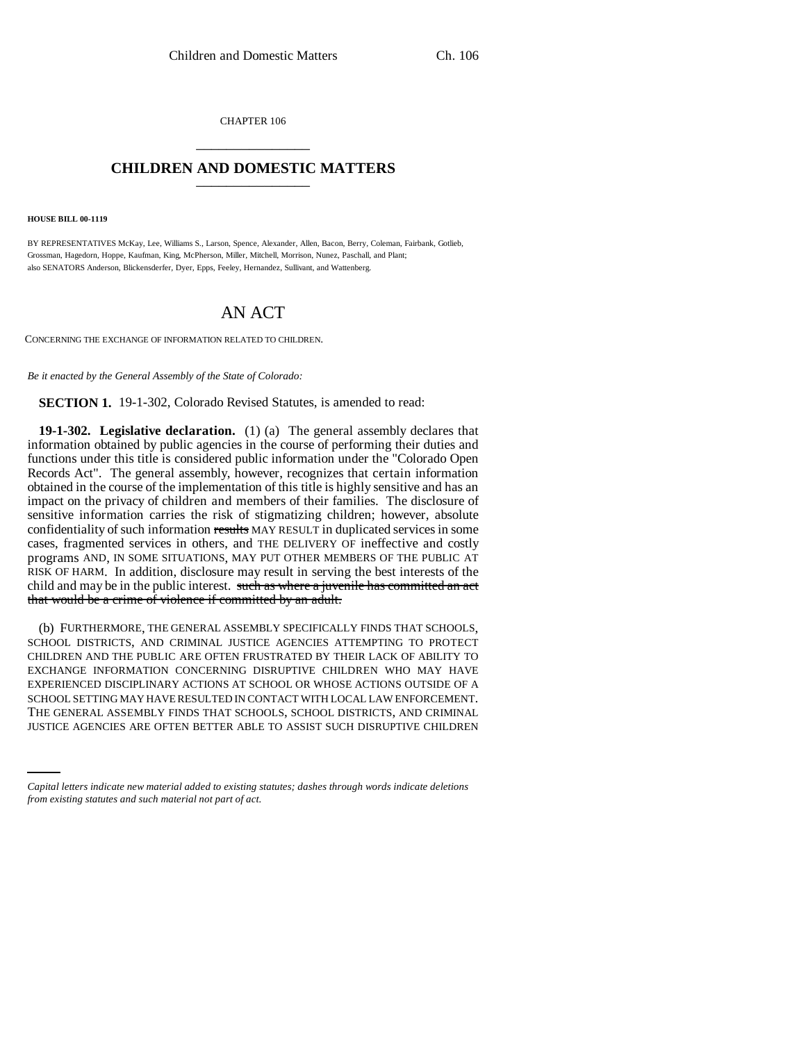CHAPTER 106 \_\_\_\_\_\_\_\_\_\_\_\_\_\_\_

## **CHILDREN AND DOMESTIC MATTERS** \_\_\_\_\_\_\_\_\_\_\_\_\_\_\_

**HOUSE BILL 00-1119** 

BY REPRESENTATIVES McKay, Lee, Williams S., Larson, Spence, Alexander, Allen, Bacon, Berry, Coleman, Fairbank, Gotlieb, Grossman, Hagedorn, Hoppe, Kaufman, King, McPherson, Miller, Mitchell, Morrison, Nunez, Paschall, and Plant; also SENATORS Anderson, Blickensderfer, Dyer, Epps, Feeley, Hernandez, Sullivant, and Wattenberg.

# AN ACT

CONCERNING THE EXCHANGE OF INFORMATION RELATED TO CHILDREN.

*Be it enacted by the General Assembly of the State of Colorado:*

**SECTION 1.** 19-1-302, Colorado Revised Statutes, is amended to read:

**19-1-302. Legislative declaration.** (1) (a) The general assembly declares that information obtained by public agencies in the course of performing their duties and functions under this title is considered public information under the "Colorado Open Records Act". The general assembly, however, recognizes that certain information obtained in the course of the implementation of this title is highly sensitive and has an impact on the privacy of children and members of their families. The disclosure of sensitive information carries the risk of stigmatizing children; however, absolute confidentiality of such information results MAY RESULT in duplicated services in some cases, fragmented services in others, and THE DELIVERY OF ineffective and costly programs AND, IN SOME SITUATIONS, MAY PUT OTHER MEMBERS OF THE PUBLIC AT RISK OF HARM. In addition, disclosure may result in serving the best interests of the child and may be in the public interest. such as where a juvenile has committed an act that would be a crime of violence if committed by an adult.

SCHOOL SETTING MAY HAVE RESULTED IN CONTACT WITH LOCAL LAW ENFORCEMENT.<br>THE GENERAL ASSEMBLY FINDS THAT SCHOOLS, SCHOOL DISTRICTS, AND CRIMINAL (b) FURTHERMORE, THE GENERAL ASSEMBLY SPECIFICALLY FINDS THAT SCHOOLS, SCHOOL DISTRICTS, AND CRIMINAL JUSTICE AGENCIES ATTEMPTING TO PROTECT CHILDREN AND THE PUBLIC ARE OFTEN FRUSTRATED BY THEIR LACK OF ABILITY TO EXCHANGE INFORMATION CONCERNING DISRUPTIVE CHILDREN WHO MAY HAVE EXPERIENCED DISCIPLINARY ACTIONS AT SCHOOL OR WHOSE ACTIONS OUTSIDE OF A SCHOOL SETTING MAY HAVE RESULTED IN CONTACT WITH LOCAL LAW ENFORCEMENT. JUSTICE AGENCIES ARE OFTEN BETTER ABLE TO ASSIST SUCH DISRUPTIVE CHILDREN

*Capital letters indicate new material added to existing statutes; dashes through words indicate deletions from existing statutes and such material not part of act.*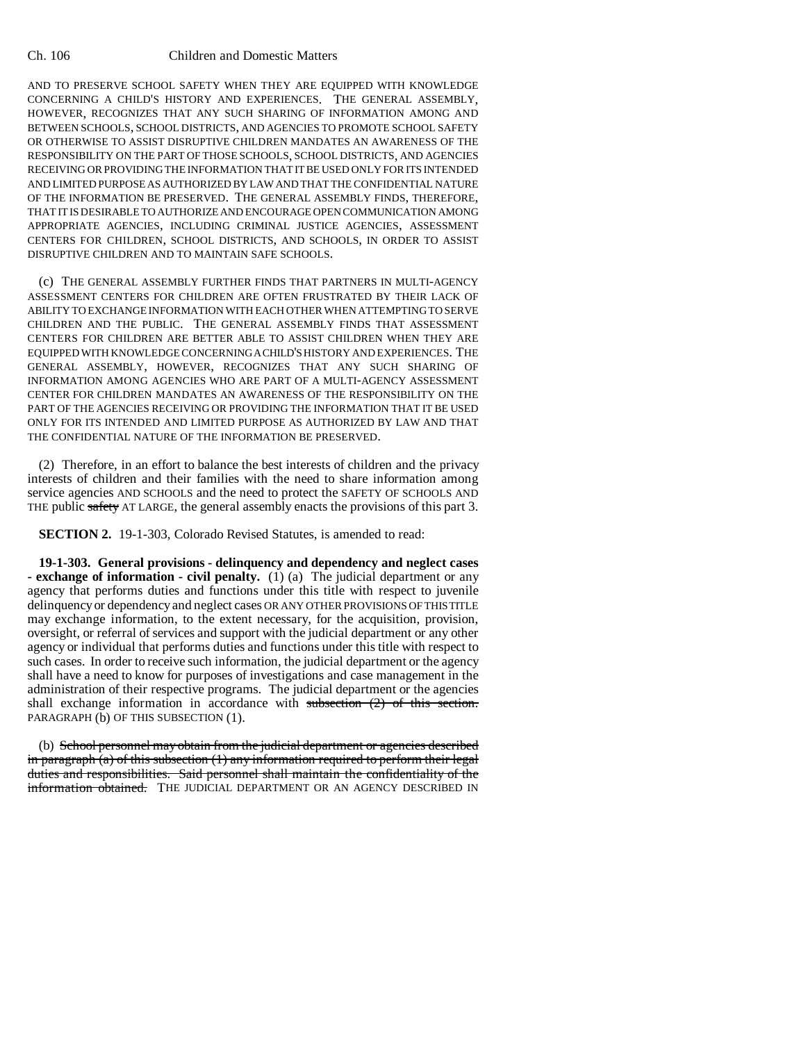AND TO PRESERVE SCHOOL SAFETY WHEN THEY ARE EQUIPPED WITH KNOWLEDGE CONCERNING A CHILD'S HISTORY AND EXPERIENCES. THE GENERAL ASSEMBLY, HOWEVER, RECOGNIZES THAT ANY SUCH SHARING OF INFORMATION AMONG AND BETWEEN SCHOOLS, SCHOOL DISTRICTS, AND AGENCIES TO PROMOTE SCHOOL SAFETY OR OTHERWISE TO ASSIST DISRUPTIVE CHILDREN MANDATES AN AWARENESS OF THE RESPONSIBILITY ON THE PART OF THOSE SCHOOLS, SCHOOL DISTRICTS, AND AGENCIES RECEIVING OR PROVIDING THE INFORMATION THAT IT BE USED ONLY FOR ITS INTENDED AND LIMITED PURPOSE AS AUTHORIZED BY LAW AND THAT THE CONFIDENTIAL NATURE OF THE INFORMATION BE PRESERVED. THE GENERAL ASSEMBLY FINDS, THEREFORE, THAT IT IS DESIRABLE TO AUTHORIZE AND ENCOURAGE OPEN COMMUNICATION AMONG APPROPRIATE AGENCIES, INCLUDING CRIMINAL JUSTICE AGENCIES, ASSESSMENT CENTERS FOR CHILDREN, SCHOOL DISTRICTS, AND SCHOOLS, IN ORDER TO ASSIST DISRUPTIVE CHILDREN AND TO MAINTAIN SAFE SCHOOLS.

(c) THE GENERAL ASSEMBLY FURTHER FINDS THAT PARTNERS IN MULTI-AGENCY ASSESSMENT CENTERS FOR CHILDREN ARE OFTEN FRUSTRATED BY THEIR LACK OF ABILITY TO EXCHANGE INFORMATION WITH EACH OTHER WHEN ATTEMPTING TO SERVE CHILDREN AND THE PUBLIC. THE GENERAL ASSEMBLY FINDS THAT ASSESSMENT CENTERS FOR CHILDREN ARE BETTER ABLE TO ASSIST CHILDREN WHEN THEY ARE EQUIPPED WITH KNOWLEDGE CONCERNING A CHILD'S HISTORY AND EXPERIENCES. THE GENERAL ASSEMBLY, HOWEVER, RECOGNIZES THAT ANY SUCH SHARING OF INFORMATION AMONG AGENCIES WHO ARE PART OF A MULTI-AGENCY ASSESSMENT CENTER FOR CHILDREN MANDATES AN AWARENESS OF THE RESPONSIBILITY ON THE PART OF THE AGENCIES RECEIVING OR PROVIDING THE INFORMATION THAT IT BE USED ONLY FOR ITS INTENDED AND LIMITED PURPOSE AS AUTHORIZED BY LAW AND THAT THE CONFIDENTIAL NATURE OF THE INFORMATION BE PRESERVED.

(2) Therefore, in an effort to balance the best interests of children and the privacy interests of children and their families with the need to share information among service agencies AND SCHOOLS and the need to protect the SAFETY OF SCHOOLS AND THE public safety AT LARGE, the general assembly enacts the provisions of this part 3.

**SECTION 2.** 19-1-303, Colorado Revised Statutes, is amended to read:

**19-1-303. General provisions - delinquency and dependency and neglect cases - exchange of information - civil penalty.** (1) (a) The judicial department or any agency that performs duties and functions under this title with respect to juvenile delinquency or dependency and neglect cases OR ANY OTHER PROVISIONS OF THIS TITLE may exchange information, to the extent necessary, for the acquisition, provision, oversight, or referral of services and support with the judicial department or any other agency or individual that performs duties and functions under this title with respect to such cases. In order to receive such information, the judicial department or the agency shall have a need to know for purposes of investigations and case management in the administration of their respective programs. The judicial department or the agencies shall exchange information in accordance with subsection (2) of this section. PARAGRAPH (b) OF THIS SUBSECTION (1).

(b) School personnel may obtain from the judicial department or agencies described in paragraph  $(a)$  of this subsection  $(1)$  any information required to perform their legal duties and responsibilities. Said personnel shall maintain the confidentiality of the information obtained. THE JUDICIAL DEPARTMENT OR AN AGENCY DESCRIBED IN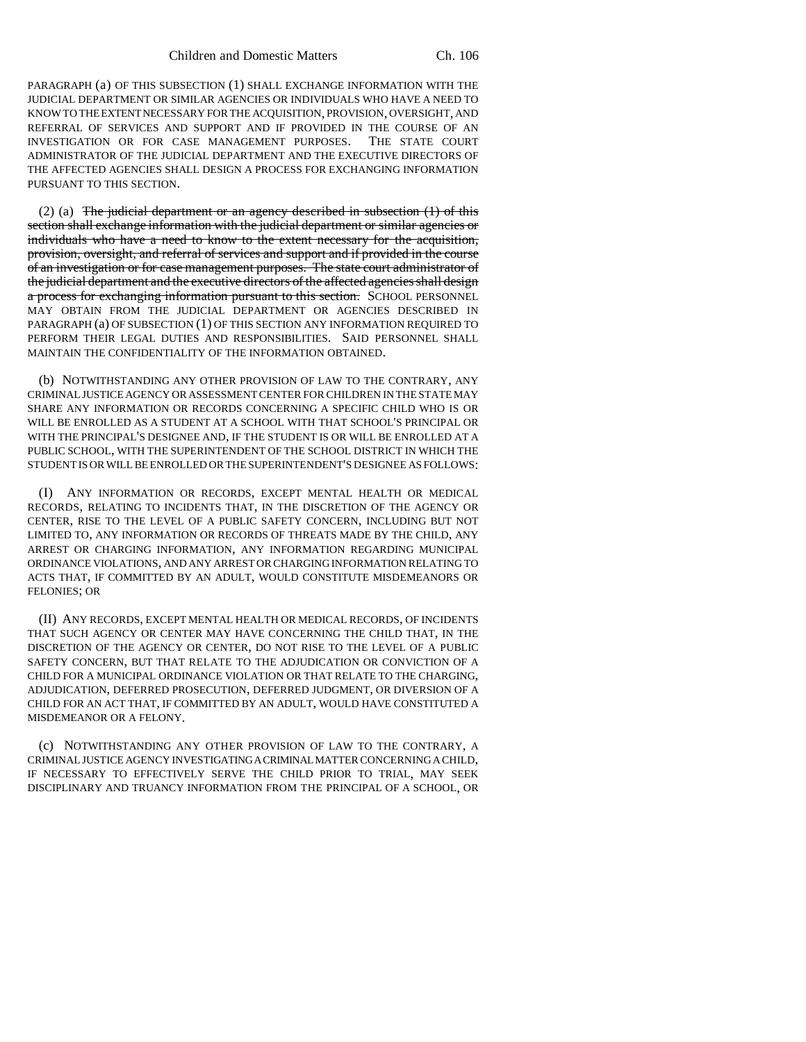PARAGRAPH (a) OF THIS SUBSECTION (1) SHALL EXCHANGE INFORMATION WITH THE JUDICIAL DEPARTMENT OR SIMILAR AGENCIES OR INDIVIDUALS WHO HAVE A NEED TO KNOW TO THE EXTENT NECESSARY FOR THE ACQUISITION, PROVISION, OVERSIGHT, AND REFERRAL OF SERVICES AND SUPPORT AND IF PROVIDED IN THE COURSE OF AN INVESTIGATION OR FOR CASE MANAGEMENT PURPOSES. THE STATE COURT ADMINISTRATOR OF THE JUDICIAL DEPARTMENT AND THE EXECUTIVE DIRECTORS OF THE AFFECTED AGENCIES SHALL DESIGN A PROCESS FOR EXCHANGING INFORMATION PURSUANT TO THIS SECTION.

(2) (a) The judicial department or an agency described in subsection  $(1)$  of this section shall exchange information with the judicial department or similar agencies or individuals who have a need to know to the extent necessary for the acquisition, provision, oversight, and referral of services and support and if provided in the course of an investigation or for case management purposes. The state court administrator of the judicial department and the executive directors of the affected agencies shall design a process for exchanging information pursuant to this section. SCHOOL PERSONNEL MAY OBTAIN FROM THE JUDICIAL DEPARTMENT OR AGENCIES DESCRIBED IN PARAGRAPH (a) OF SUBSECTION (1) OF THIS SECTION ANY INFORMATION REQUIRED TO PERFORM THEIR LEGAL DUTIES AND RESPONSIBILITIES. SAID PERSONNEL SHALL MAINTAIN THE CONFIDENTIALITY OF THE INFORMATION OBTAINED.

(b) NOTWITHSTANDING ANY OTHER PROVISION OF LAW TO THE CONTRARY, ANY CRIMINAL JUSTICE AGENCY OR ASSESSMENT CENTER FOR CHILDREN IN THE STATE MAY SHARE ANY INFORMATION OR RECORDS CONCERNING A SPECIFIC CHILD WHO IS OR WILL BE ENROLLED AS A STUDENT AT A SCHOOL WITH THAT SCHOOL'S PRINCIPAL OR WITH THE PRINCIPAL'S DESIGNEE AND, IF THE STUDENT IS OR WILL BE ENROLLED AT A PUBLIC SCHOOL, WITH THE SUPERINTENDENT OF THE SCHOOL DISTRICT IN WHICH THE STUDENT IS OR WILL BE ENROLLED OR THE SUPERINTENDENT'S DESIGNEE AS FOLLOWS:

(I) ANY INFORMATION OR RECORDS, EXCEPT MENTAL HEALTH OR MEDICAL RECORDS, RELATING TO INCIDENTS THAT, IN THE DISCRETION OF THE AGENCY OR CENTER, RISE TO THE LEVEL OF A PUBLIC SAFETY CONCERN, INCLUDING BUT NOT LIMITED TO, ANY INFORMATION OR RECORDS OF THREATS MADE BY THE CHILD, ANY ARREST OR CHARGING INFORMATION, ANY INFORMATION REGARDING MUNICIPAL ORDINANCE VIOLATIONS, AND ANY ARREST OR CHARGING INFORMATION RELATING TO ACTS THAT, IF COMMITTED BY AN ADULT, WOULD CONSTITUTE MISDEMEANORS OR FELONIES; OR

(II) ANY RECORDS, EXCEPT MENTAL HEALTH OR MEDICAL RECORDS, OF INCIDENTS THAT SUCH AGENCY OR CENTER MAY HAVE CONCERNING THE CHILD THAT, IN THE DISCRETION OF THE AGENCY OR CENTER, DO NOT RISE TO THE LEVEL OF A PUBLIC SAFETY CONCERN, BUT THAT RELATE TO THE ADJUDICATION OR CONVICTION OF A CHILD FOR A MUNICIPAL ORDINANCE VIOLATION OR THAT RELATE TO THE CHARGING, ADJUDICATION, DEFERRED PROSECUTION, DEFERRED JUDGMENT, OR DIVERSION OF A CHILD FOR AN ACT THAT, IF COMMITTED BY AN ADULT, WOULD HAVE CONSTITUTED A MISDEMEANOR OR A FELONY.

(c) NOTWITHSTANDING ANY OTHER PROVISION OF LAW TO THE CONTRARY, A CRIMINAL JUSTICE AGENCY INVESTIGATING A CRIMINAL MATTER CONCERNING A CHILD, IF NECESSARY TO EFFECTIVELY SERVE THE CHILD PRIOR TO TRIAL, MAY SEEK DISCIPLINARY AND TRUANCY INFORMATION FROM THE PRINCIPAL OF A SCHOOL, OR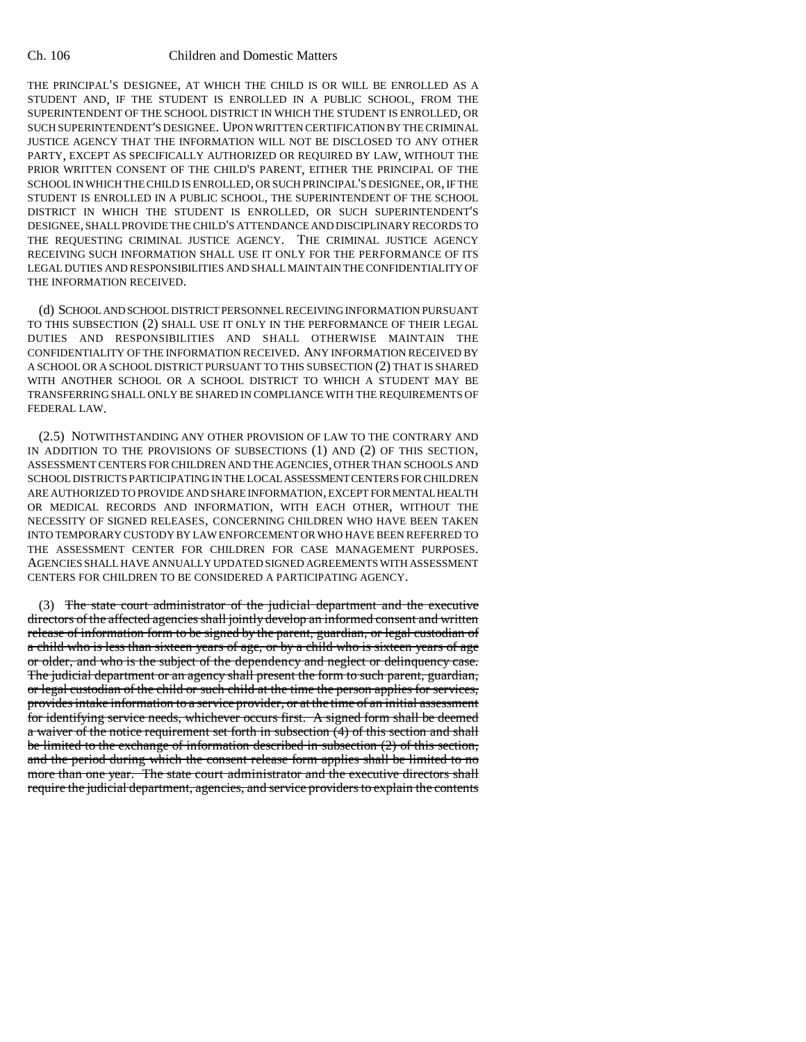THE PRINCIPAL'S DESIGNEE, AT WHICH THE CHILD IS OR WILL BE ENROLLED AS A STUDENT AND, IF THE STUDENT IS ENROLLED IN A PUBLIC SCHOOL, FROM THE SUPERINTENDENT OF THE SCHOOL DISTRICT IN WHICH THE STUDENT IS ENROLLED, OR SUCH SUPERINTENDENT'S DESIGNEE. UPON WRITTEN CERTIFICATION BY THE CRIMINAL JUSTICE AGENCY THAT THE INFORMATION WILL NOT BE DISCLOSED TO ANY OTHER PARTY, EXCEPT AS SPECIFICALLY AUTHORIZED OR REQUIRED BY LAW, WITHOUT THE PRIOR WRITTEN CONSENT OF THE CHILD'S PARENT, EITHER THE PRINCIPAL OF THE SCHOOL IN WHICH THE CHILD IS ENROLLED, OR SUCH PRINCIPAL'S DESIGNEE, OR, IF THE STUDENT IS ENROLLED IN A PUBLIC SCHOOL, THE SUPERINTENDENT OF THE SCHOOL DISTRICT IN WHICH THE STUDENT IS ENROLLED, OR SUCH SUPERINTENDENT'S DESIGNEE, SHALL PROVIDE THE CHILD'S ATTENDANCE AND DISCIPLINARY RECORDS TO THE REQUESTING CRIMINAL JUSTICE AGENCY. THE CRIMINAL JUSTICE AGENCY RECEIVING SUCH INFORMATION SHALL USE IT ONLY FOR THE PERFORMANCE OF ITS LEGAL DUTIES AND RESPONSIBILITIES AND SHALL MAINTAIN THE CONFIDENTIALITY OF THE INFORMATION RECEIVED.

(d) SCHOOL AND SCHOOL DISTRICT PERSONNEL RECEIVING INFORMATION PURSUANT TO THIS SUBSECTION (2) SHALL USE IT ONLY IN THE PERFORMANCE OF THEIR LEGAL DUTIES AND RESPONSIBILITIES AND SHALL OTHERWISE MAINTAIN THE CONFIDENTIALITY OF THE INFORMATION RECEIVED. ANY INFORMATION RECEIVED BY A SCHOOL OR A SCHOOL DISTRICT PURSUANT TO THIS SUBSECTION (2) THAT IS SHARED WITH ANOTHER SCHOOL OR A SCHOOL DISTRICT TO WHICH A STUDENT MAY BE TRANSFERRING SHALL ONLY BE SHARED IN COMPLIANCE WITH THE REQUIREMENTS OF FEDERAL LAW.

(2.5) NOTWITHSTANDING ANY OTHER PROVISION OF LAW TO THE CONTRARY AND IN ADDITION TO THE PROVISIONS OF SUBSECTIONS (1) AND (2) OF THIS SECTION, ASSESSMENT CENTERS FOR CHILDREN AND THE AGENCIES, OTHER THAN SCHOOLS AND SCHOOL DISTRICTS PARTICIPATING IN THE LOCAL ASSESSMENT CENTERS FOR CHILDREN ARE AUTHORIZED TO PROVIDE AND SHARE INFORMATION, EXCEPT FOR MENTAL HEALTH OR MEDICAL RECORDS AND INFORMATION, WITH EACH OTHER, WITHOUT THE NECESSITY OF SIGNED RELEASES, CONCERNING CHILDREN WHO HAVE BEEN TAKEN INTO TEMPORARY CUSTODY BY LAW ENFORCEMENT OR WHO HAVE BEEN REFERRED TO THE ASSESSMENT CENTER FOR CHILDREN FOR CASE MANAGEMENT PURPOSES. AGENCIES SHALL HAVE ANNUALLY UPDATED SIGNED AGREEMENTS WITH ASSESSMENT CENTERS FOR CHILDREN TO BE CONSIDERED A PARTICIPATING AGENCY.

(3) The state court administrator of the judicial department and the executive directors of the affected agencies shall jointly develop an informed consent and written release of information form to be signed by the parent, guardian, or legal custodian of a child who is less than sixteen years of age, or by a child who is sixteen years of age or older, and who is the subject of the dependency and neglect or delinquency case. The judicial department or an agency shall present the form to such parent, guardian, or legal custodian of the child or such child at the time the person applies for services, provides intake information to a service provider, or at the time of an initial assessment for identifying service needs, whichever occurs first. A signed form shall be deemed a waiver of the notice requirement set forth in subsection (4) of this section and shall be limited to the exchange of information described in subsection (2) of this section, and the period during which the consent release form applies shall be limited to no more than one year. The state court administrator and the executive directors shall require the judicial department, agencies, and service providers to explain the contents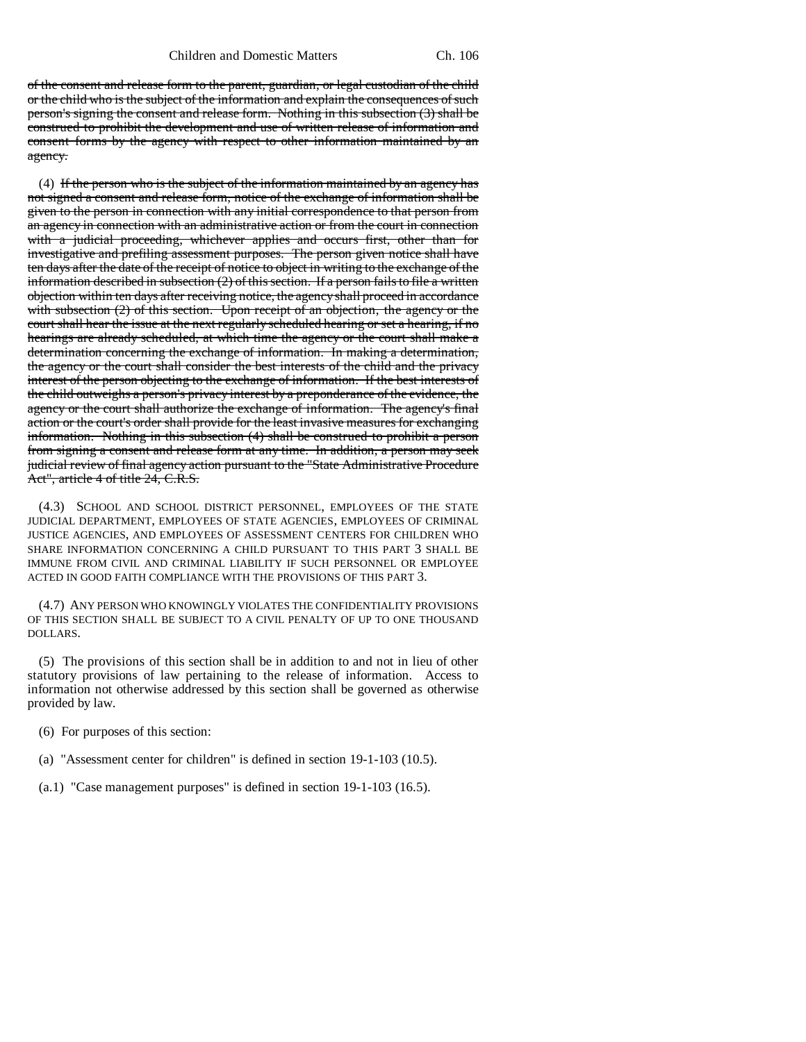of the consent and release form to the parent, guardian, or legal custodian of the child or the child who is the subject of the information and explain the consequences of such person's signing the consent and release form. Nothing in this subsection (3) shall be construed to prohibit the development and use of written release of information and consent forms by the agency with respect to other information maintained by an agency.

(4) If the person who is the subject of the information maintained by an agency has not signed a consent and release form, notice of the exchange of information shall be given to the person in connection with any initial correspondence to that person from an agency in connection with an administrative action or from the court in connection with a judicial proceeding, whichever applies and occurs first, other than for investigative and prefiling assessment purposes. The person given notice shall have ten days after the date of the receipt of notice to object in writing to the exchange of the information described in subsection (2) of this section. If a person fails to file a written objection within ten days after receiving notice, the agency shall proceed in accordance with subsection (2) of this section. Upon receipt of an objection, the agency or the court shall hear the issue at the next regularly scheduled hearing or set a hearing, if no hearings are already scheduled, at which time the agency or the court shall make a determination concerning the exchange of information. In making a determination, the agency or the court shall consider the best interests of the child and the privacy interest of the person objecting to the exchange of information. If the best interests of the child outweighs a person's privacy interest by a preponderance of the evidence, the agency or the court shall authorize the exchange of information. The agency's final action or the court's order shall provide for the least invasive measures for exchanging information. Nothing in this subsection (4) shall be construed to prohibit a person from signing a consent and release form at any time. In addition, a person may seek judicial review of final agency action pursuant to the "State Administrative Procedure Act", article 4 of title 24, C.R.S.

(4.3) SCHOOL AND SCHOOL DISTRICT PERSONNEL, EMPLOYEES OF THE STATE JUDICIAL DEPARTMENT, EMPLOYEES OF STATE AGENCIES, EMPLOYEES OF CRIMINAL JUSTICE AGENCIES, AND EMPLOYEES OF ASSESSMENT CENTERS FOR CHILDREN WHO SHARE INFORMATION CONCERNING A CHILD PURSUANT TO THIS PART 3 SHALL BE IMMUNE FROM CIVIL AND CRIMINAL LIABILITY IF SUCH PERSONNEL OR EMPLOYEE ACTED IN GOOD FAITH COMPLIANCE WITH THE PROVISIONS OF THIS PART 3.

(4.7) ANY PERSON WHO KNOWINGLY VIOLATES THE CONFIDENTIALITY PROVISIONS OF THIS SECTION SHALL BE SUBJECT TO A CIVIL PENALTY OF UP TO ONE THOUSAND DOLLARS.

(5) The provisions of this section shall be in addition to and not in lieu of other statutory provisions of law pertaining to the release of information. Access to information not otherwise addressed by this section shall be governed as otherwise provided by law.

(6) For purposes of this section:

- (a) "Assessment center for children" is defined in section 19-1-103 (10.5).
- (a.1) "Case management purposes" is defined in section 19-1-103 (16.5).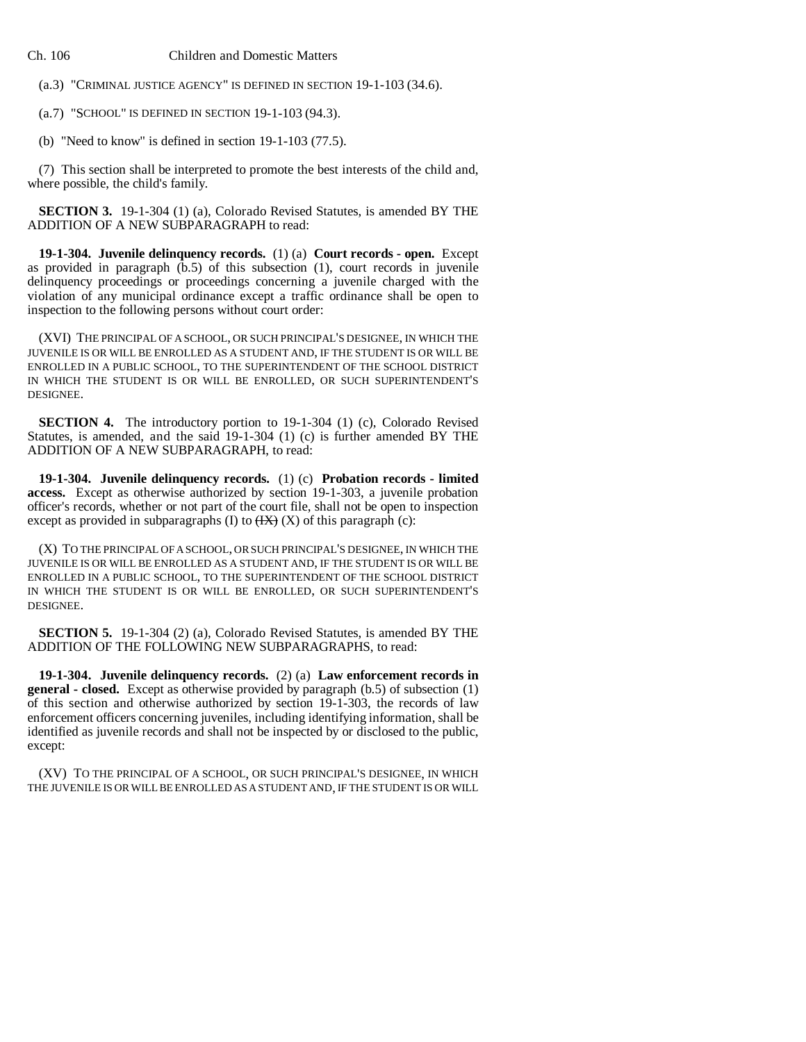(a.3) "CRIMINAL JUSTICE AGENCY" IS DEFINED IN SECTION 19-1-103 (34.6).

(a.7) "SCHOOL" IS DEFINED IN SECTION 19-1-103 (94.3).

(b) "Need to know" is defined in section 19-1-103 (77.5).

(7) This section shall be interpreted to promote the best interests of the child and, where possible, the child's family.

**SECTION 3.** 19-1-304 (1) (a), Colorado Revised Statutes, is amended BY THE ADDITION OF A NEW SUBPARAGRAPH to read:

**19-1-304. Juvenile delinquency records.** (1) (a) **Court records - open.** Except as provided in paragraph  $(b.5)$  of this subsection  $(1)$ , court records in juvenile delinquency proceedings or proceedings concerning a juvenile charged with the violation of any municipal ordinance except a traffic ordinance shall be open to inspection to the following persons without court order:

(XVI) THE PRINCIPAL OF A SCHOOL, OR SUCH PRINCIPAL'S DESIGNEE, IN WHICH THE JUVENILE IS OR WILL BE ENROLLED AS A STUDENT AND, IF THE STUDENT IS OR WILL BE ENROLLED IN A PUBLIC SCHOOL, TO THE SUPERINTENDENT OF THE SCHOOL DISTRICT IN WHICH THE STUDENT IS OR WILL BE ENROLLED, OR SUCH SUPERINTENDENT'S DESIGNEE.

**SECTION 4.** The introductory portion to 19-1-304 (1) (c), Colorado Revised Statutes, is amended, and the said 19-1-304 (1) (c) is further amended BY THE ADDITION OF A NEW SUBPARAGRAPH, to read:

**19-1-304. Juvenile delinquency records.** (1) (c) **Probation records - limited access.** Except as otherwise authorized by section 19-1-303, a juvenile probation officer's records, whether or not part of the court file, shall not be open to inspection except as provided in subparagraphs (I) to  $(HX)$  (X) of this paragraph (c):

(X) TO THE PRINCIPAL OF A SCHOOL, OR SUCH PRINCIPAL'S DESIGNEE, IN WHICH THE JUVENILE IS OR WILL BE ENROLLED AS A STUDENT AND, IF THE STUDENT IS OR WILL BE ENROLLED IN A PUBLIC SCHOOL, TO THE SUPERINTENDENT OF THE SCHOOL DISTRICT IN WHICH THE STUDENT IS OR WILL BE ENROLLED, OR SUCH SUPERINTENDENT'S DESIGNEE.

**SECTION 5.** 19-1-304 (2) (a), Colorado Revised Statutes, is amended BY THE ADDITION OF THE FOLLOWING NEW SUBPARAGRAPHS, to read:

**19-1-304. Juvenile delinquency records.** (2) (a) **Law enforcement records in general - closed.** Except as otherwise provided by paragraph (b.5) of subsection (1) of this section and otherwise authorized by section 19-1-303, the records of law enforcement officers concerning juveniles, including identifying information, shall be identified as juvenile records and shall not be inspected by or disclosed to the public, except:

(XV) TO THE PRINCIPAL OF A SCHOOL, OR SUCH PRINCIPAL'S DESIGNEE, IN WHICH THE JUVENILE IS OR WILL BE ENROLLED AS A STUDENT AND, IF THE STUDENT IS OR WILL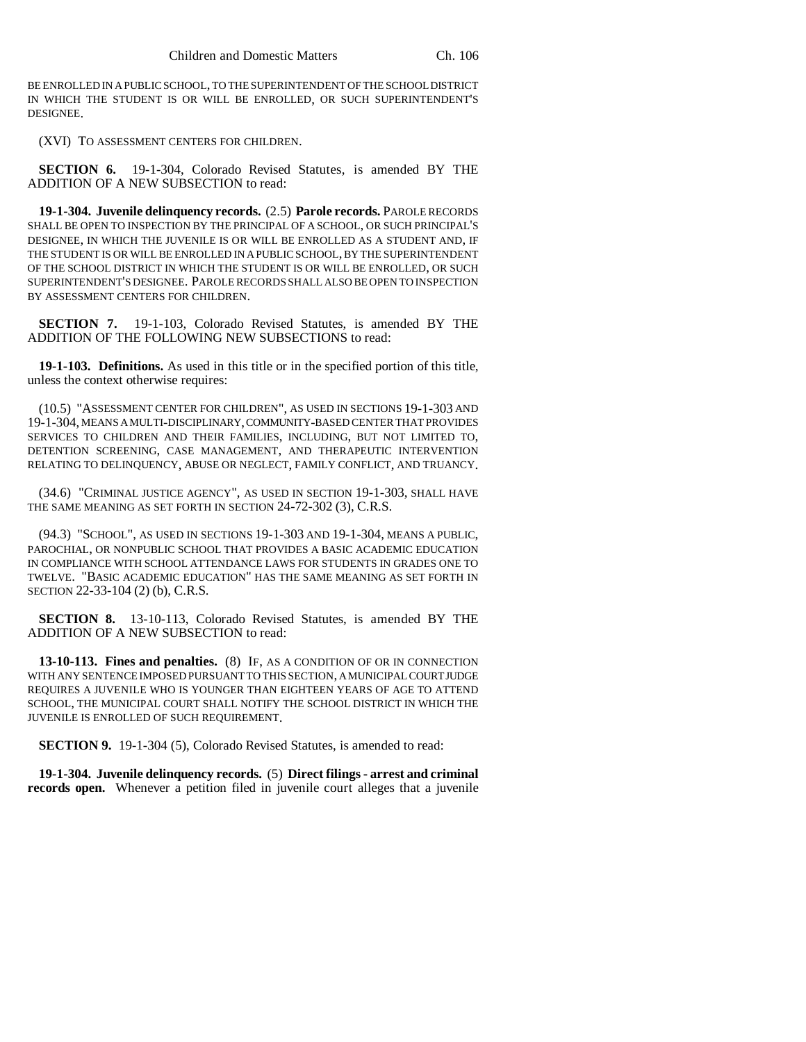BE ENROLLED IN A PUBLIC SCHOOL, TO THE SUPERINTENDENT OF THE SCHOOL DISTRICT IN WHICH THE STUDENT IS OR WILL BE ENROLLED, OR SUCH SUPERINTENDENT'S DESIGNEE.

(XVI) TO ASSESSMENT CENTERS FOR CHILDREN.

**SECTION 6.** 19-1-304, Colorado Revised Statutes, is amended BY THE ADDITION OF A NEW SUBSECTION to read:

**19-1-304. Juvenile delinquency records.** (2.5) **Parole records.** PAROLE RECORDS SHALL BE OPEN TO INSPECTION BY THE PRINCIPAL OF A SCHOOL, OR SUCH PRINCIPAL'S DESIGNEE, IN WHICH THE JUVENILE IS OR WILL BE ENROLLED AS A STUDENT AND, IF THE STUDENT IS OR WILL BE ENROLLED IN A PUBLIC SCHOOL, BY THE SUPERINTENDENT OF THE SCHOOL DISTRICT IN WHICH THE STUDENT IS OR WILL BE ENROLLED, OR SUCH SUPERINTENDENT'S DESIGNEE. PAROLE RECORDS SHALL ALSO BE OPEN TO INSPECTION BY ASSESSMENT CENTERS FOR CHILDREN.

**SECTION 7.** 19-1-103, Colorado Revised Statutes, is amended BY THE ADDITION OF THE FOLLOWING NEW SUBSECTIONS to read:

**19-1-103. Definitions.** As used in this title or in the specified portion of this title, unless the context otherwise requires:

(10.5) "ASSESSMENT CENTER FOR CHILDREN", AS USED IN SECTIONS 19-1-303 AND 19-1-304, MEANS A MULTI-DISCIPLINARY, COMMUNITY-BASED CENTER THAT PROVIDES SERVICES TO CHILDREN AND THEIR FAMILIES, INCLUDING, BUT NOT LIMITED TO, DETENTION SCREENING, CASE MANAGEMENT, AND THERAPEUTIC INTERVENTION RELATING TO DELINQUENCY, ABUSE OR NEGLECT, FAMILY CONFLICT, AND TRUANCY.

(34.6) "CRIMINAL JUSTICE AGENCY", AS USED IN SECTION 19-1-303, SHALL HAVE THE SAME MEANING AS SET FORTH IN SECTION 24-72-302 (3), C.R.S.

(94.3) "SCHOOL", AS USED IN SECTIONS 19-1-303 AND 19-1-304, MEANS A PUBLIC, PAROCHIAL, OR NONPUBLIC SCHOOL THAT PROVIDES A BASIC ACADEMIC EDUCATION IN COMPLIANCE WITH SCHOOL ATTENDANCE LAWS FOR STUDENTS IN GRADES ONE TO TWELVE. "BASIC ACADEMIC EDUCATION" HAS THE SAME MEANING AS SET FORTH IN SECTION 22-33-104 (2) (b), C.R.S.

**SECTION 8.** 13-10-113, Colorado Revised Statutes, is amended BY THE ADDITION OF A NEW SUBSECTION to read:

**13-10-113. Fines and penalties.** (8) IF, AS A CONDITION OF OR IN CONNECTION WITH ANY SENTENCE IMPOSED PURSUANT TO THIS SECTION, A MUNICIPAL COURT JUDGE REQUIRES A JUVENILE WHO IS YOUNGER THAN EIGHTEEN YEARS OF AGE TO ATTEND SCHOOL, THE MUNICIPAL COURT SHALL NOTIFY THE SCHOOL DISTRICT IN WHICH THE JUVENILE IS ENROLLED OF SUCH REQUIREMENT.

**SECTION 9.** 19-1-304 (5), Colorado Revised Statutes, is amended to read:

**19-1-304. Juvenile delinquency records.** (5) **Direct filings - arrest and criminal records open.** Whenever a petition filed in juvenile court alleges that a juvenile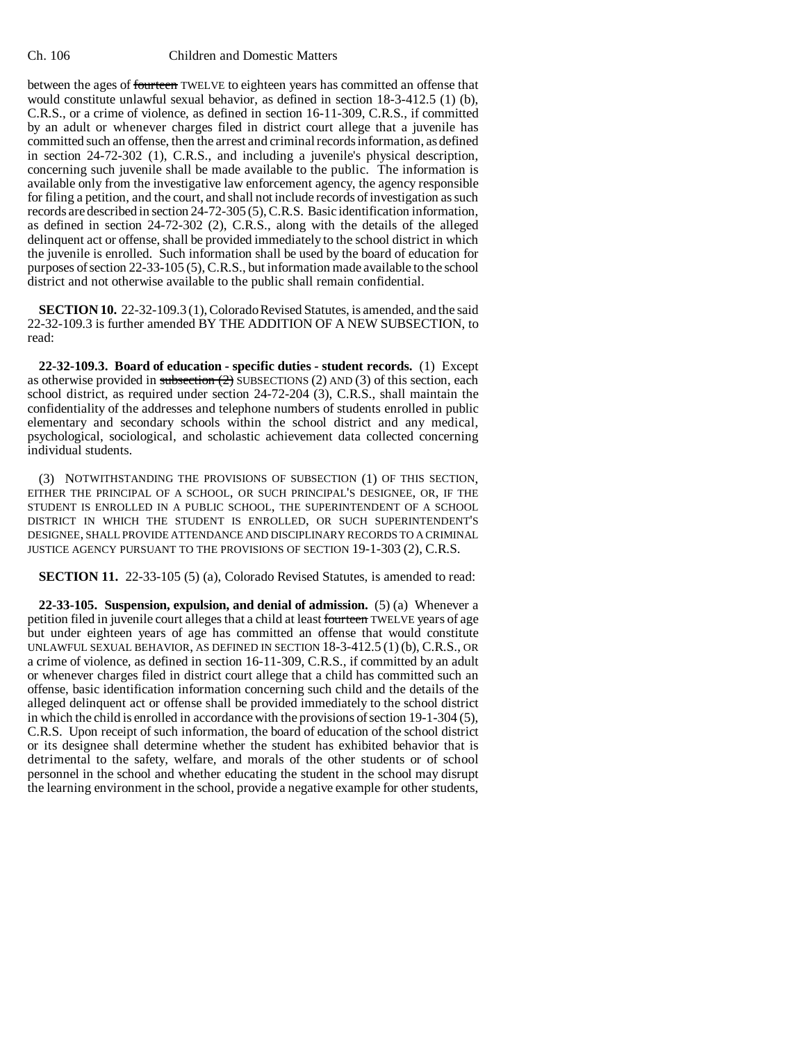between the ages of fourteen TWELVE to eighteen years has committed an offense that would constitute unlawful sexual behavior, as defined in section 18-3-412.5 (1) (b), C.R.S., or a crime of violence, as defined in section 16-11-309, C.R.S., if committed by an adult or whenever charges filed in district court allege that a juvenile has committed such an offense, then the arrest and criminal records information, as defined in section 24-72-302 (1), C.R.S., and including a juvenile's physical description, concerning such juvenile shall be made available to the public. The information is available only from the investigative law enforcement agency, the agency responsible for filing a petition, and the court, and shall not include records of investigation as such records are described in section 24-72-305 (5), C.R.S. Basic identification information, as defined in section 24-72-302 (2), C.R.S., along with the details of the alleged delinquent act or offense, shall be provided immediately to the school district in which the juvenile is enrolled. Such information shall be used by the board of education for purposes of section 22-33-105 (5), C.R.S., but information made available to the school district and not otherwise available to the public shall remain confidential.

**SECTION 10.** 22-32-109.3 (1), Colorado Revised Statutes, is amended, and the said 22-32-109.3 is further amended BY THE ADDITION OF A NEW SUBSECTION, to read:

**22-32-109.3. Board of education - specific duties - student records.** (1) Except as otherwise provided in subsection  $(2)$  SUBSECTIONS  $(2)$  AND  $(3)$  of this section, each school district, as required under section 24-72-204 (3), C.R.S., shall maintain the confidentiality of the addresses and telephone numbers of students enrolled in public elementary and secondary schools within the school district and any medical, psychological, sociological, and scholastic achievement data collected concerning individual students.

(3) NOTWITHSTANDING THE PROVISIONS OF SUBSECTION (1) OF THIS SECTION, EITHER THE PRINCIPAL OF A SCHOOL, OR SUCH PRINCIPAL'S DESIGNEE, OR, IF THE STUDENT IS ENROLLED IN A PUBLIC SCHOOL, THE SUPERINTENDENT OF A SCHOOL DISTRICT IN WHICH THE STUDENT IS ENROLLED, OR SUCH SUPERINTENDENT'S DESIGNEE, SHALL PROVIDE ATTENDANCE AND DISCIPLINARY RECORDS TO A CRIMINAL JUSTICE AGENCY PURSUANT TO THE PROVISIONS OF SECTION 19-1-303 (2), C.R.S.

**SECTION 11.** 22-33-105 (5) (a), Colorado Revised Statutes, is amended to read:

**22-33-105. Suspension, expulsion, and denial of admission.** (5) (a) Whenever a petition filed in juvenile court alleges that a child at least fourteen TWELVE years of age but under eighteen years of age has committed an offense that would constitute UNLAWFUL SEXUAL BEHAVIOR, AS DEFINED IN SECTION 18-3-412.5 (1) (b), C.R.S., OR a crime of violence, as defined in section 16-11-309, C.R.S., if committed by an adult or whenever charges filed in district court allege that a child has committed such an offense, basic identification information concerning such child and the details of the alleged delinquent act or offense shall be provided immediately to the school district in which the child is enrolled in accordance with the provisions of section 19-1-304 (5), C.R.S. Upon receipt of such information, the board of education of the school district or its designee shall determine whether the student has exhibited behavior that is detrimental to the safety, welfare, and morals of the other students or of school personnel in the school and whether educating the student in the school may disrupt the learning environment in the school, provide a negative example for other students,